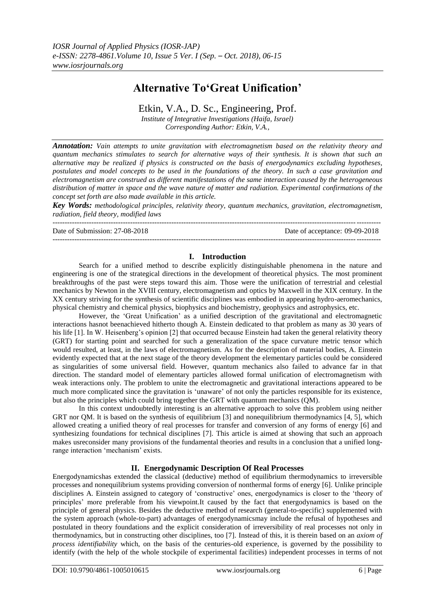# **Alternative To'Great Unification'**

## Etkin, V.A., D. Sc., Engineering, Prof.

*Institute of Integrative Investigations (Haifa, Israel) Corresponding Author: Etkin, V.A.,*

*Annotation: Vain attempts to unite gravitation with electromagnetism based on the relativity theory and quantum mechanics stimulates to search for alternative ways of their synthesis. It is shown that such an alternative may be realized if physics is constructed on the basis of energodynamics excluding hypotheses, postulates and model concepts to be used in the foundations of the theory. In such a case gravitation and electromagnetism are construed as different manifestations of the same interaction caused by the heterogeneous distribution of matter in space and the wave nature of matter and radiation. Experimental confirmations of the concept set forth are also made available in this article.*

*Key Words: methodological principles, relativity theory, quantum mechanics, gravitation, electromagnetism, radiation, field theory, modified laws*

---------------------------------------------------------------------------------------------------------------------------------------

Date of Submission: 27-08-2018 Date of acceptance: 09-09-2018

#### **I. Introduction**

Search for a unified method to describe explicitly distinguishable phenomena in the nature and engineering is one of the strategical directions in the development of theoretical physics. The most prominent breakthroughs of the past were steps toward this aim. Those were the unification of terrestrial and celestial mechanics by Newton in the XVIII century, electromagnetism and optics by Maxwell in the XIX century. In the XX century striving for the synthesis of scientific disciplines was embodied in appearing hydro-aeromechanics, physical chemistry and chemical physics, biophysics and biochemistry, geophysics and astrophysics, etc.

However, the 'Great Unification' as a unified description of the gravitational and electromagnetic interactions hasnot beenachieved hitherto though A. Einstein dedicated to that problem as many as 30 years of his life [1]. In W. Heisenberg's opinion [2] that occurred because Einstein had taken the general relativity theory (GRT) for starting point and searched for such a generalization of the space curvature metric tensor which would resulted, at least, in the laws of electromagnetism. As for the description of material bodies, A. Einstein evidently expected that at the next stage of the theory development the elementary particles could be considered as singularities of some universal field. However, quantum mechanics also failed to advance far in that direction. The standard model of elementary particles allowed formal unification of electromagnetism with weak interactions only. The problem to unite the electromagnetic and gravitational interactions appeared to be much more complicated since the gravitation is 'unaware' of not only the particles responsible for its existence, but also the principles which could bring together the GRT with quantum mechanics (QM).

In this context undoubtedly interesting is an alternative approach to solve this problem using neither GRT nor OM. It is based on the synthesis of equilibrium [3] and nonequilibrium thermodynamics [4, 5], which allowed creating a unified theory of real processes for transfer and conversion of any forms of energy [6] and synthesizing foundations for technical disciplines [7]. This article is aimed at showing that such an approach makes usreconsider many provisions of the fundamental theories and results in a conclusion that a unified longrange interaction 'mechanism' exists.

## **II. Energodynamic Description Of Real Processes**

Energodynamicshas extended the classical (deductive) method of equilibrium thermodynamics to irreversible processes and nonequilibrium systems providing conversion of nonthermal forms of energy [6]. Unlike principle disciplines A. Einstein assigned to category of 'constructive' ones, energodynamics is closer to the 'theory of principles' more preferable from his viewpoint.It caused by the fact that energodynamics is based on the principle of general physics. Besides the deductive method of research (general-to-specific) supplemented with the system approach (whole-to-part) advantages of energodynamicsmay include the refusal of hypotheses and postulated in theory foundations and the explicit consideration of irreversibility of real processes not only in thermodynamics, but in constructing other disciplines, too [7]. Instead of this, it is therein based on an *axiom of process identifiability* which, on the basis of the centuries-old experience, is governed by the possibility to identify (with the help of the whole stockpile of experimental facilities) independent processes in terms of not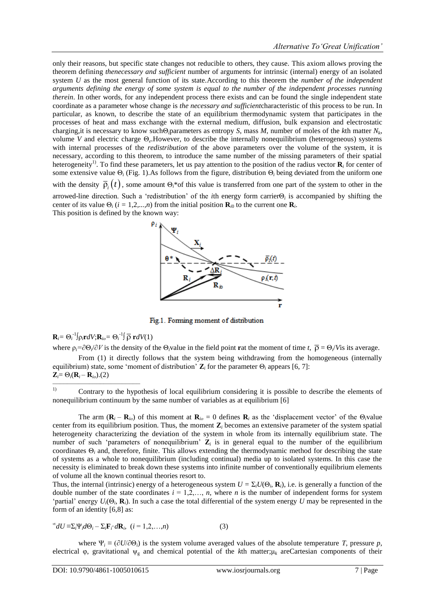only their reasons, but specific state changes not reducible to others, they cause. This axiom allows proving the theorem defining *thenecessary and sufficient* number of arguments for intrinsic (internal) energy of an isolated system *U* as the most general function of its state.According to this theorem the *number of the independent arguments defining the energy of some system is equal to the number of the independent processes running therein*. In other words, for any independent process there exists and can be found the single independent state coordinate as a parameter whose change is *the necessary and sufficient*characteristic of this process to be run. In particular, as known, to describe the state of an equilibrium thermodynamic system that participates in the processes of heat and mass exchange with the external medium, diffusion, bulk expansion and electrostatic charging,it is necessary to know suchΘ*i*parameters as entropy *S*, mass *M*, number of moles of the *k*th matter *N<sup>k</sup>* , volume *V* and electric charge Θ*<sup>е</sup>* .However, to describe the internally nonequilibrium (heterogeneous) systems with internal processes of the *redistribution* of the above parameters over the volume of the system, it is necessary, according to this theorem, to introduce the same number of the missing parameters of their spatial heterogeneity<sup>1)</sup>. To find these parameters, let us pay attention to the position of the radius vector  $\mathbf{R}_i$  for center of some extensive value Θ*<sup>i</sup>* (Fig. 1).As follows from the figure, distribution Θ*<sup>i</sup>* being deviated from the uniform one with the density  $\bar{\rho}_i(t)$ , some amount  $\Theta_i$ <sup>\*</sup>of this value is transferred from one part of the system to other in the arrowed-line direction. Such a 'redistribution' of the *i*th energy form carrierΘ<sub>i</sub> is accompanied by shifting the center of its value  $\Theta_i$  (*i* = 1,2,...,*n*) from the initial position  $\mathbf{R}_{i0}$  to the current one  $\mathbf{R}_{i}$ . This position is defined by the known way:



Fig.1. Forming moment of distribution

## $\mathbf{R}_i = \Theta_i^{-1} \int \rho_i \mathbf{r} dV; \mathbf{R}_{io} = \Theta_i^{-1} \int \overline{\rho} \mathbf{r} dV(1)$

––––––––––––––––––––––––

where  $\rho_i = \partial \Theta_i / \partial V$  is the density of the  $\Theta_i$ value in the field point **r**at the moment of time *t*,  $\overline{\rho} = \Theta_i / V$  is its average.

From (1) it directly follows that the system being withdrawing from the homogeneous (internally equilibrium) state, some 'moment of distribution'  $\mathbf{Z}_i$  for the parameter  $\Theta_i$  appears [6, 7]:  $Z_i = \Theta_i (R_i - R_i)$ .(2)

<sup>1)</sup> Contrary to the hypothesis of local equilibrium considering it is possible to describe the elements of nonequilibrium continuum by the same number of variables as at equilibrium [6]

The arm  $(\mathbf{R}_i - \mathbf{R}_{i_0})$  of this moment at  $\mathbf{R}_{i_0} = 0$  defines  $\mathbf{R}_i$  as the 'displacement vector' of the  $\Theta_i$ value center from its equilibrium position. Thus, the moment **Z***<sup>i</sup>* becomes an extensive parameter of the system spatial heterogeneity characterizing the deviation of the system in whole from its internally equilibrium state. The number of such 'parameters of nonequilibrium'  $\mathbb{Z}_i$  is in general equal to the number of the equilibrium coordinates Θ*<sup>i</sup>* and, therefore, finite. This allows extending the thermodynamic method for describing the state of systems as a whole to nonequilibrium (including continual) media up to isolated systems. In this case the necessity is eliminated to break down these systems into infinite number of conventionally equilibrium elements of volume all the known continual theories resort to.

Thus, the internal (intrinsic) energy of a heterogeneous system  $U = \Sigma_i U(\Theta_i, \mathbf{R}_i)$ , i.e. is generally a function of the double number of the state coordinates  $i = 1, 2, \ldots, n$ , where *n* is the number of independent forms for system 'partial' energy  $U_i(\Theta_i, \mathbf{R}_i)$ . In such a case the total differential of the system energy *U* may be represented in the form of an identity [6,8] as:

$$
^{\infty}dU \equiv \sum_{i} \Psi_{i} d\Theta_{i} - \sum_{i} \mathbf{F}_{i} d\mathbf{R}_{i}, \quad (i = 1, 2, \dots, n)
$$
 (3)

where  $\Psi_i \equiv (\partial U/\partial \Theta_i)$  is the system volume averaged values of the absolute temperature *T*, pressure *p*, electrical φ, gravitational ψ<sup>g</sup> and chemical potential of the *k*th matter;μ*<sup>k</sup>* areCartesian components of their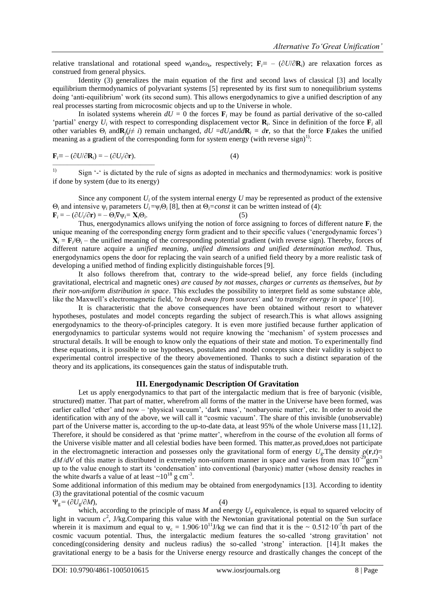relative translational and rotational speed  $w_k$ and $\omega_k$ , respectively;  $\mathbf{F}_i \equiv -(\partial U/\partial \mathbf{R}_i)$  are relaxation forces as construed from general physics.

Identity (3) generalizes the main equation of the first and second laws of classical [3] and locally equilibrium thermodynamics of polyvariant systems [5] represented by its first sum to nonequilibrium systems doing 'anti-equilibrium' work (its second sum). This allows energodynamics to give a unified description of any real processes starting from microcosmic objects and up to the Universe in whole.

In isolated systems wherein  $dU = 0$  the forces  $\mathbf{F}_i$  may be found as partial derivative of the so-called 'partial' energy  $U_i$  with respect to corresponding displacement vector  $\mathbf{R}_i$ . Since in definition of the force  $\mathbf{F}_i$  all other variables  $\Theta_i$  and  $\mathbf{R}_j$  ( $j \neq i$ ) remain unchanged,  $dU = dU_i$  and  $d\mathbf{R}_i = d\mathbf{r}$ , so that the force  $\mathbf{F}_i$  takes the unified meaning as a gradient of the corresponding form for system energy (with reverse sign)<sup>1)</sup>:

$$
\mathbf{F}_i \equiv -(\partial U/\partial \mathbf{R}_i) = -(\partial U_i/\partial \mathbf{r}).\tag{4}
$$

<sup>1)</sup> Sign  $\cdot$  <sup>2</sup> is dictated by the rule of signs as adopted in mechanics and thermodynamics: work is positive if done by system (due to its energy)

Since any component  $U_i$  of the system internal energy  $U$  may be represented as product of the extensive Θ*<sup>i</sup>* and intensive ψ*<sup>i</sup>* parameters *Ui* =ψ*i*Θ*<sup>i</sup>* [8], then at Θ*i=const* it can be written instead of (4):  $\mathbf{F}_i = -(\partial U_i/\partial \mathbf{r}) = -\Theta_i \nabla \psi_i = \mathbf{X}_i \Theta_i$  $\qquad \qquad (5)$ 

Thus, energodynamics allows unifying the notion of force assigning to forces of different nature  $\mathbf{F}_i$  the unique meaning of the corresponding energy form gradient and to their specific values (‗energodynamic forces')  $X_i = F_i/\Theta_i$  – the unified meaning of the corresponding potential gradient (with reverse sign). Thereby, forces of different nature acquire a *unified meaning*, *unified dimensions and unified determination method*. Thus, energodynamics opens the door for replacing the vain search of a unified field theory by a more realistic task of developing a unified method of finding explicitly distinguishable forces [9].

It also follows therefrom that, contrary to the wide-spread belief, any force fields (including gravitational, electrical and magnetic ones) *are caused by not masses*, *charges or currents as themselves, but by their non-uniform distribution in space*. This excludes the possibility to interpret field as some substance able, like the Maxwell's electromagnetic field, ‗*to break away from sources*' and ‗*to transfer energy in space*' [10].

It is characteristic that the above consequences have been obtained without resort to whatever hypotheses, postulates and model concepts regarding the subject of research.This is what allows assigning energodynamics to the theory-of-principles category. It is even more justified because further application of energodynamics to particular systems would not require knowing the 'mechanism' of system processes and structural details. It will be enough to know only the equations of their state and motion. To experimentally find these equations, it is possible to use hypotheses, postulates and model concepts since their validity is subject to experimental control irrespective of the theory abovementioned. Thanks to such a distinct separation of the theory and its applications, its consequences gain the status of indisputable truth.

#### **III. Energodynamic Description Of Gravitation**

Let us apply energodynamics to that part of the intergalactic medium that is free of baryonic (visible, structured) matter. That part of matter, wherefrom all forms of the matter in the Universe have been formed, was earlier called 'ether' and now – 'physical vacuum', 'dark mass', 'nonbaryonic matter', etc. In order to avoid the identification with any of the above, we will call it "cosmic vacuum'. The share of this invisible (unobservable) part of the Universe matter is, according to the up-to-date data, at least 95% of the whole Universe mass [11,12]. Therefore, it should be considered as that 'prime matter', wherefrom in the course of the evolution all forms of the Universe visible matter and all celestial bodies have been formed. This matter,as proved,does not participate in the electromagnetic interaction and possesses only the gravitational form of energy  $U_g$ . The density  $\rho(\mathbf{r},t)$ =  $dM/dV$  of this matter is distributed in extremely non-uniform manner in space and varies from max  $10^{-29}$  gcm<sup>-3</sup> up to the value enough to start its ‗condensation' into conventional (baryonic) matter (whose density reaches in the white dwarfs a value of at least  $\sim 10^{18}$  g cm<sup>-3</sup>.

Some additional information of this medium may be obtained from energodynamics [13]. According to identity (3) the gravitational potential of the cosmic vacuum

 $\Psi_{g} = (\partial U_{g}/\partial M),$  (4)

which, according to the principle of mass  $M$  and energy  $U_g$  equivalence, is equal to squared velocity of light in vacuum  $c^2$ , J/kg.Comparing this value with the Newtonian gravitational potential on the Sun surface wherein it is maximum and equal to  $\psi_c = 1.906 \cdot 10^{11}$  J/kg we can find that it is the ~ 0.512⋅10<sup>-7</sup>th part of the cosmic vacuum potential. Thus, the intergalactic medium features the so-called ‗strong gravitation' not conceding(considering density and nucleus radius) the so-called ‗strong' interaction. [14].It makes the gravitational energy to be a basis for the Universe energy resource and drastically changes the concept of the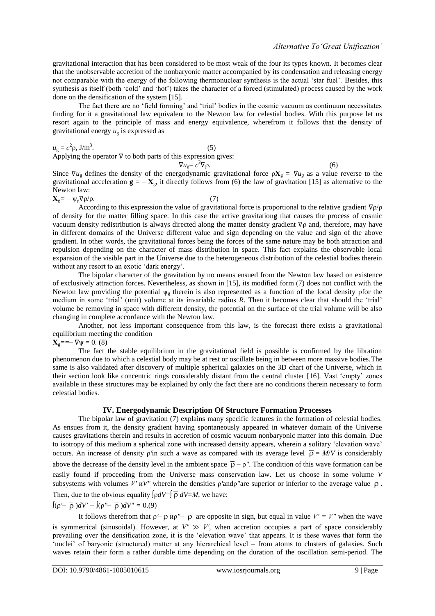gravitational interaction that has been considered to be most weak of the four its types known. It becomes clear that the unobservable accretion of the nonbaryonic matter accompanied by its condensation and releasing energy not comparable with the energy of the following thermonuclear synthesis is the actual 'star fuel'. Besides, this synthesis as itself (both 'cold' and 'hot') takes the character of a forced (stimulated) process caused by the work done on the densification of the system [15].

The fact there are no 'field forming' and 'trial' bodies in the cosmic vacuum as continuum necessitates finding for it a gravitational law equivalent to the Newton law for celestial bodies. With this purpose let us resort again to the principle of mass and energy equivalence, wherefrom it follows that the density of gravitational energy  $u_{g}$  is expressed as

 $u_{\rm g} = c^2 \rho$ , J/m<sup>3</sup> .  $(5)$ Applying the operator  $\nabla$  to both parts of this expression gives:

 $\nabla u_{\rm g}=c^2$  $\nabla \rho$ . (6)

Since  $\nabla u_g$  defines the density of the energodynamic gravitational force  $\rho X_g = -\nabla u_g$  as a value reverse to the gravitational acceleration  $\mathbf{g} = -\mathbf{X}_{g}$ , it directly follows from (6) the law of gravitation [15] as alternative to the Newton law:

 $\mathbf{X}_{g} = -\psi_{g} \nabla \rho / \rho.$  (7)

According to this expression the value of gravitational force is proportional to the relative gradient ∇ρ/ρ of density for the matter filling space. In this case the active gravitation**g** that causes the process of cosmic vacuum density redistribution is always directed along the matter density gradient ∇ρ and, therefore, may have in different domains of the Universe different value and sign depending on the value and sign of the above gradient. In other words, the gravitational forces being the forces of the same nature may be both attraction and repulsion depending on the character of mass distribution in space. This fact explains the observable local expansion of the visible part in the Universe due to the heterogeneous distribution of the celestial bodies therein without any resort to an exotic 'dark energy'.

The bipolar character of the gravitation by no means ensued from the Newton law based on existence of exclusively attraction forces. Nevertheless, as shown in [15], its modified form (7) does not conflict with the Newton law providing the potential  $\psi_{g}$  therein is also represented as a function of the local density pfor the medium in some 'trial' (unit) volume at its invariable radius *R*. Then it becomes clear that should the 'trial' volume be removing in space with different density, the potential on the surface of the trial volume will be also changing in complete accordance with the Newton law.

Another, not less important consequence from this law, is the forecast there exists a gravitational equilibrium meeting the condition

**ψ = 0. (8)** 

The fact the stable equilibrium in the gravitational field is possible is confirmed by the libration phenomenon due to which a celestial body may be at rest or oscillate being in between more massive bodies.The same is also validated after discovery of multiple spherical galaxies on the 3D chart of the Universe, which in their section look like concentric rings considerably distant from the central cluster [16]. Vast ‗empty' zones available in these structures may be explained by only the fact there are no conditions therein necessary to form celestial bodies.

### **IV. Energodynamic Description Of Structure Formation Processes**

The bipolar law of gravitation (7) explains many specific features in the formation of celestial bodies. As ensues from it, the density gradient having spontaneously appeared in whatever domain of the Universe causes gravitations therein and results in accretion of cosmic vacuum nonbaryonic matter into this domain. Due to isotropy of this medium a spherical zone with increased density appears, wherein a solitary 'elevation wave' occurs. An increase of density  $\rho$ 'in such a wave as compared with its average level  $\bar{\rho} = M/V$  is considerably above the decrease of the density level in the ambient space  $\bar{\rho}$  –  $\rho$ ". The condition of this wave formation can be easily found if proceeding from the Universe mass conservation law. Let us choose in some volume *V* subsystems with volumes *V'*  $uV''$  wherein the densities  $\rho'$  and  $\rho''$  are superior or inferior to the average value  $\bar{\rho}$ . Then, due to the obvious equality  $\int \rho dV = \int \overline{\rho} dV = M$ , we have:

$$
\int (\rho' - \overline{\rho}) dV' + \int (\rho'' - \overline{\rho}) dV'' = 0.9
$$

It follows therefrom that  $p'$ –  $\overline{p}$  are opposite in sign, but equal in value  $V' = V''$  when the wave is symmetrical (sinusoidal). However, at  $V'' \gg V'$ , when accretion occupies a part of space considerably prevailing over the densification zone, it is the ‗elevation wave' that appears. It is these waves that form the ‗nuclei' of baryonic (structured) matter at any hierarchical level – from atoms to clusters of galaxies. Such waves retain their form a rather durable time depending on the duration of the oscillation semi-period. The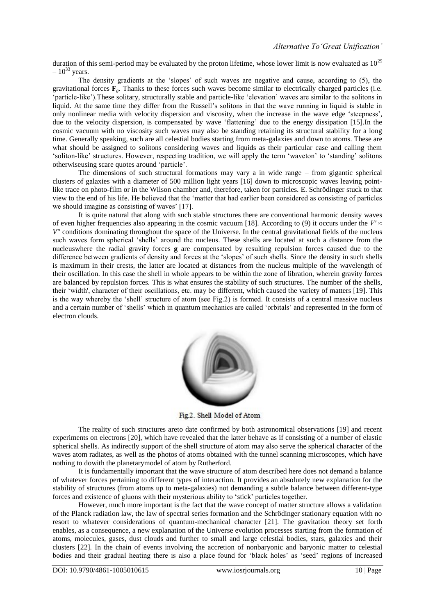duration of this semi-period may be evaluated by the proton lifetime, whose lower limit is now evaluated as  $10^{29}$  $-10^{33}$  years.

The density gradients at the 'slopes' of such waves are negative and cause, according to  $(5)$ , the gravitational forces  $\mathbf{F}_g$ . Thanks to these forces such waves become similar to electrically charged particles (i.e. ‗particle-like').These solitary, structurally stable and particle-like ‗elevation' waves are similar to the solitons in liquid. At the same time they differ from the Russell's solitons in that the wave running in liquid is stable in only nonlinear media with velocity dispersion and viscosity, when the increase in the wave edge 'steepness', due to the velocity dispersion, is compensated by wave 'flattening' due to the energy dissipation [15]. In the cosmic vacuum with no viscosity such waves may also be standing retaining its structural stability for a long time. Generally speaking, such are all celestial bodies starting from meta-galaxies and down to atoms. These are what should be assigned to solitons considering waves and liquids as their particular case and calling them ‗soliton-like' structures. However, respecting tradition, we will apply the term ‗waveton' to ‗standing' solitons otherwiseusing scare quotes around 'particle'.

The dimensions of such structural formations may vary a in wide range – from gigantic spherical clusters of galaxies with a diameter of 500 million light years [16] down to microscopic waves leaving pointlike trace on photo-film or in the Wilson chamber and, therefore, taken for particles. E. Schrödinger stuck to that view to the end of his life. He believed that the ‗matter that had earlier been considered as consisting of particles we should imagine as consisting of waves' [17].

It is quite natural that along with such stable structures there are conventional harmonic density waves of even higher frequencies also appearing in the cosmic vacuum [18]. According to (9) it occurs under the  $V' \approx$ *V"* conditions dominating throughout the space of the Universe. In the central gravitational fields of the nucleus such waves form spherical 'shells' around the nucleus. These shells are located at such a distance from the nucleuswhere the radial gravity forces **g** are compensated by resulting repulsion forces caused due to the difference between gradients of density and forces at the 'slopes' of such shells. Since the density in such shells is maximum in their crests, the latter are located at distances from the nucleus multiple of the wavelength of their oscillation. In this case the shell in whole appears to be within the zone of libration, wherein gravity forces are balanced by repulsion forces. This is what ensures the stability of such structures. The number of the shells, their ‗width', character of their oscillations, etc. may be different, which caused the variety of matters [19]. This is the way whereby the 'shell' structure of atom (see Fig.2) is formed. It consists of a central massive nucleus and a certain number of 'shells' which in quantum mechanics are called 'orbitals' and represented in the form of electron clouds.



Fig.2. Shell Model of Atom

The reality of such structures areto date confirmed by both astronomical observations [19] and recent experiments on electrons [20], which have revealed that the latter behave as if consisting of a number of elastic spherical shells. As indirectly support of the shell structure of atom may also serve the spherical character of the waves atom radiates, as well as the photos of atoms obtained with the tunnel scanning microscopes, which have nothing to dowith the planetarymodel of atom by Rutherford.

It is fundamentally important that the wave structure of atom described here does not demand a balance of whatever forces pertaining to different types of interaction. It provides an absolutely new explanation for the stability of structures (from atoms up to meta-galaxies) not demanding a subtle balance between different-type forces and existence of gluons with their mysterious ability to 'stick' particles together.

However, much more important is the fact that the wave concept of matter structure allows a validation of the Planck radiation law, the law of spectral series formation and the Schrödinger stationary equation with no resort to whatever considerations of quantum-mechanical character [21]. The gravitation theory set forth enables, as a consequence, a new explanation of the Universe evolution processes starting from the formation of atoms, molecules, gases, dust clouds and further to small and large celestial bodies, stars, galaxies and their clusters [22]. In the chain of events involving the accretion of nonbaryonic and baryonic matter to celestial bodies and their gradual heating there is also a place found for 'black holes' as 'seed' regions of increased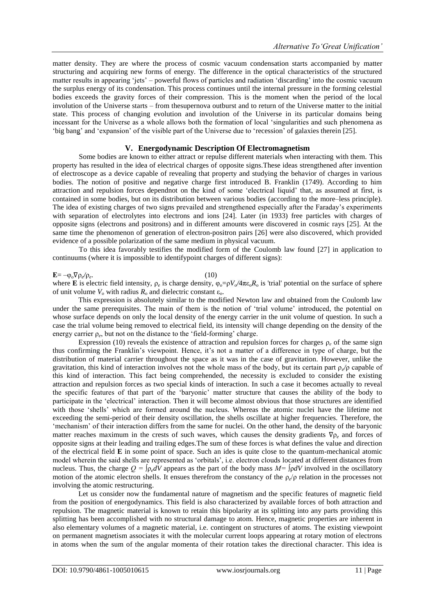matter density. They are where the process of cosmic vacuum condensation starts accompanied by matter structuring and acquiring new forms of energy. The difference in the optical characteristics of the structured matter results in appearing 'jets' – powerful flows of particles and radiation 'discarding' into the cosmic vacuum the surplus energy of its condensation. This process continues until the internal pressure in the forming celestial bodies exceeds the gravity forces of their compression. This is the moment when the period of the local involution of the Universe starts – from thesupernova outburst and to return of the Universe matter to the initial state. This process of changing evolution and involution of the Universe in its particular domains being incessant for the Universe as a whole allows both the formation of local 'singularities and such phenomena as ‗big bang' and ‗expansion' of the visible part of the Universe due to ‗recession' of galaxies therein [25].

#### **V. Energodynamic Description Of Electromagnetism**

Some bodies are known to either attract or repulse different materials when interacting with them. This property has resulted in the idea of electrical charges of opposite signs.These ideas strengthened after invention of electroscope as a device capable of revealing that property and studying the behavior of charges in various bodies. The notion of positive and negative charge first introduced B. Franklin (1749). According to him attraction and repulsion forces dependnot on the kind of some 'electrical liquid' that, as assumed at first, is contained in some bodies, but on its distribution between various bodies (according to the more–less principle). The idea of existing charges of two signs prevailed and strengthened especially after the Faraday's experiments with separation of electrolytes into electrons and ions [24]. Later (in 1933) free particles with charges of opposite signs (electrons and positrons) and in different amounts were discovered in cosmic rays [25]. At the same time the phenomenon of generation of electron-positron pairs [26] were also discovered, which provided evidence of a possible polarization of the same medium in physical vacuum.

To this idea favorably testifies the modified form of the Coulomb law found [27] in application to continuums (where it is impossible to identifypoint charges of different signs):

#### **Е**= –φо∇ρ*<sup>e</sup> /*ρ*e*

#### .  $(10)$

where **E** is electric field intensity,  $\rho_e$  is charge density,  $\varphi_o = \rho V_o/4\pi \epsilon_o R_o$  is 'trial' potential on the surface of sphere of unit volume  $V_0$  with radius  $R_0$  and dielectric constant  $\varepsilon_0$ .

This expression is absolutely similar to the modified Newton law and obtained from the Coulomb law under the same prerequisites. The main of them is the notion of 'trial volume' introduced, the potential on whose surface depends on only the local density of the energy carrier in the unit volume of question. In such a case the trial volume being removed to electrical field, its intensity will change depending on the density of the energy carrier ρ*<sup>e</sup>* , but not on the distance to the ‗field-forming' charge.

Expression (10) reveals the existence of attraction and repulsion forces for charges ρ*<sup>е</sup>* of the same sign thus confirming the Franklin's viewpoint. Hence, it's not a matter of a difference in type of charge, but the distribution of material carrier throughout the space as it was in the case of gravitation. However, unlike the gravitation, this kind of interaction involves not the whole mass of the body, but its certain part ρ*<sup>e</sup> /*ρ capable of this kind of interaction. This fact being comprehended, the necessity is excluded to consider the existing attraction and repulsion forces as two special kinds of interaction. In such a case it becomes actually to reveal the specific features of that part of the 'baryonic' matter structure that causes the ability of the body to participate in the 'electrical' interaction. Then it will become almost obvious that those structures are identified with those 'shells' which are formed around the nucleus. Whereas the atomic nuclei have the lifetime not exceeding the semi-period of their density oscillation, the shells oscillate at higher frequencies. Therefore, the ‗mechanism' of their interaction differs from the same for nuclei. On the other hand, the density of the baryonic matter reaches maximum in the crests of such waves, which causes the density gradients ∇ρ*<sup>e</sup>* and forces of opposite signs at their leading and trailing edges.The sum of these forces is what defines the value and direction of the electrical field **E** in some point of space. Such an ides is quite close to the quantum-mechanical atomic model wherein the said shells are represented as 'orbitals', i.e. electron clouds located at different distances from nucleus. Thus, the charge  $Q = \int \rho_e dV$  appears as the part of the body mass  $M = \int \rho dV$  involved in the oscillatory motion of the atomic electron shells. It ensues therefrom the constancy of the ρ<sub>e</sub>/ρ relation in the processes not involving the atomic restructuring.

Let us consider now the fundamental nature of magnetism and the specific features of magnetic field from the position of energodynamics. This field is also characterized by available forces of both attraction and repulsion. The magnetic material is known to retain this bipolarity at its splitting into any parts providing this splitting has been accomplished with no structural damage to atom. Hence, magnetic properties are inherent in also elementary volumes of a magnetic material, i.e. contingent on structures of atoms. The existing viewpoint on permanent magnetism associates it with the molecular current loops appearing at rotary motion of electrons in atoms when the sum of the angular momenta of their rotation takes the directional character. This idea is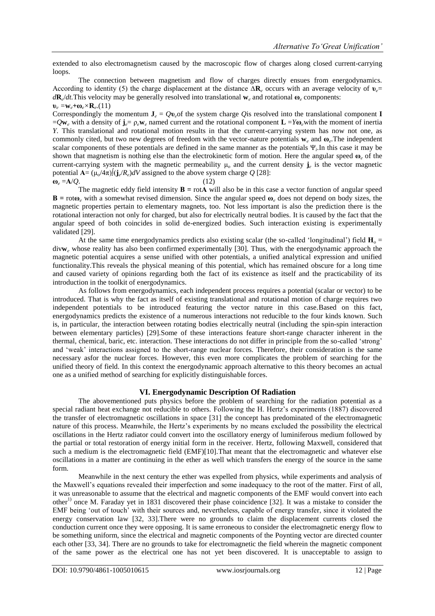extended to also electromagnetism caused by the macroscopic flow of charges along closed current-carrying loops.

The connection between magnetism and flow of charges directly ensues from energodynamics. According to identity (5) the charge displacement at the distance ∆**R***<sup>е</sup>* occurs with an average velocity of **υ***е*= *d***R***<sup>е</sup>* /*dt.*This velocity may be generally resolved into translational **w***<sup>е</sup>* and rotational **ω***<sup>е</sup>* components:  $\mathbf{v}_e = \mathbf{w}_e + \mathbf{\omega}_e \times \mathbf{R}_e$ .(11)

Correspondingly the momentum  $J_e = Qv_e$  of the system charge *Q*is resolved into the translational component **I**  $=Q$ **w**<sub>*e*</sub> with a density of  $\mathbf{j}_e = \rho_e \mathbf{w}_e$  named current and the rotational component  $\mathbf{L} = Y\mathbf{w}_e$  with the moment of inertia *Y*. This translational and rotational motion results in that the current-carrying system has now not one, as commonly cited, but two new degrees of freedom with the vector-nature potentials **w***<sup>е</sup>* and **ω***<sup>е</sup>* .The independent scalar components of these potentials are defined in the same manner as the potentials Ψ*<sup>i</sup>* .In this case it may be shown that magnetism is nothing else than the electrokinetic form of motion. Here the angular speed **ω***<sup>е</sup>* of the current-carrying system with the magnetic permeability  $\mu_0$  and the current density  $\mathbf{j}_e$  is the vector magnetic potential  $\mathbf{A} = (\mu_0/4\pi) [(\mathbf{j}_e/R_e)dV$  assigned to the above system charge Q [28]:  $\omega_e = A/Q.$  (12)

The magnetic eddy field intensity  $\mathbf{B} = \text{rot}\mathbf{A}$  will also be in this case a vector function of angular speed **B** = rot**ω**<sub>*e*</sub> with a somewhat revised dimension. Since the angular speed  $ω$ <sub>*e*</sub> does not depend on body sizes, the magnetic properties pertain to elementary magnets, too. Not less important is also the prediction there is the rotational interaction not only for charged, but also for electrically neutral bodies. It is caused by the fact that the angular speed of both coincides in solid de-energized bodies. Such interaction existing is experimentally validated [29].

At the same time energodynamics predicts also existing scalar (the so-called 'longitudinal') field  $H_0 =$ div**w***<sup>е</sup>* whose reality has also been confirmed experimentally [30]. Thus, with the energodynamic approach the magnetic potential acquires a sense unified with other potentials, a unified analytical expression and unified functionality.This reveals the physical meaning of this potential, which has remained obscure for a long time and caused variety of opinions regarding both the fact of its existence as itself and the practicability of its introduction in the toolkit of energodynamics.

As follows from energodynamics, each independent process requires a potential (scalar or vector) to be introduced. That is why the fact as itself of existing translational and rotational motion of charge requires two independent potentials to be introduced featuring the vector nature in this case.Based on this fact, energodynamics predicts the existence of a numerous interactions not reducible to the four kinds known. Such is, in particular, the interaction between rotating bodies electrically neutral (including the spin-spin interaction between elementary particles) [29].Some of these interactions feature short-range character inherent in the thermal, chemical, baric, etc. interaction. These interactions do not differ in principle from the so-called ‗strong' and 'weak' interactions assigned to the short-range nuclear forces. Therefore, their consideration is the same necessary asfor the nuclear forces. However, this even more complicates the problem of searching for the unified theory of field. In this context the energodynamic approach alternative to this theory becomes an actual one as a unified method of searching for explicitly distinguishable forces.

#### **VI. Energodynamic Description Of Radiation**

The abovementioned puts physics before the problem of searching for the radiation potential as a special radiant heat exchange not reducible to others. Following the H. Hertz's experiments (1887) discovered the transfer of electromagnetic oscillations in space [31] the concept has predominated of the electromagnetic nature of this process. Meanwhile, the Hertz's experiments by no means excluded the possibility the electrical oscillations in the Hertz radiator could convert into the oscillatory energy of luminiferous medium followed by the partial or total restoration of energy initial form in the receiver. Hertz, following Maxwell, considered that such a medium is the electromagnetic field (EMF)[10].That meant that the electromagnetic and whatever else oscillations in a matter are continuing in the ether as well which transfers the energy of the source in the same form.

Meanwhile in the next century the ether was expelled from physics, while experiments and analysis of the Maxwell's equations revealed their imperfection and some inadequacy to the root of the matter. First of all, it was unreasonable to assume that the electrical and magnetic components of the EMF would convert into each other<sup>1)</sup> once M. Faraday yet in 1831 discovered their phase coincidence [32]. It was a mistake to consider the EMF being 'out of touch' with their sources and, nevertheless, capable of energy transfer, since it violated the energy conservation law [32, 33].There were no grounds to claim the displacement currents closed the conduction current once they were opposing. It is same erroneous to consider the electromagnetic energy flow to be something uniform, since the electrical and magnetic components of the Poynting vector are directed counter each other [33, 34]. There are no grounds to take for electromagnetic the field wherein the magnetic component of the same power as the electrical one has not yet been discovered. It is unacceptable to assign to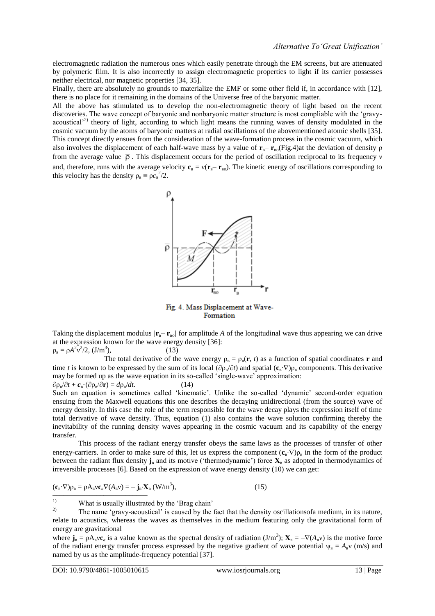electromagnetic radiation the numerous ones which easily penetrate through the EM screens, but are attenuated by polymeric film. It is also incorrectly to assign electromagnetic properties to light if its carrier possesses neither electrical, nor magnetic properties [34, 35].

Finally, there are absolutely no grounds to materialize the EMF or some other field if, in accordance with [12], there is no place for it remaining in the domains of the Universe free of the baryonic matter.

All the above has stimulated us to develop the non-electromagnetic theory of light based on the recent discoveries. The wave concept of baryonic and nonbaryonic matter structure is most compliable with the 'gravyacoustical<sup>'2)</sup> theory of light, according to which light means the running waves of density modulated in the cosmic vacuum by the atoms of baryonic matters at radial oscillations of the abovementioned atomic shells [35]. This concept directly ensues from the consideration of the wave-formation process in the cosmic vacuum, which also involves the displacement of each half-wave mass by a value of  $\mathbf{r}_{\text{B}} - \mathbf{r}_{\text{BO}}$ (Fig.4)at the deviation of density ρ from the average value  $\bar{\rho}$ . This displacement occurs for the period of oscillation reciprocal to its frequency v and, therefore, runs with the average velocity  $\mathbf{c}_B = v(\mathbf{r}_B - \mathbf{r}_{B0})$ . The kinetic energy of oscillations corresponding to this velocity has the density  $\rho_{\rm B} \equiv \rho c_{\rm B}^2/2$ .



Fig. 4. Mass Displacement at Wave-Formation

Taking the displacement modulus  $/\mathbf{r}_B - \mathbf{r}_{B0}$  for amplitude A of the longitudinal wave thus appearing we can drive at the expression known for the wave energy density [36]:  $(13)$ 

 $\rho_{\rm B} = \rho A^2 v^2 / 2$ ,  $(J/m^3)$ 

The total derivative of the wave energy  $\rho_B = \rho_B(\mathbf{r}, t)$  as a function of spatial coordinates **r** and time *t* is known to be expressed by the sum of its local ( $\partial \rho_{B}/\partial t$ ) and spatial ( $\mathbf{c}_{B} \cdot \nabla$ ) $\rho_{B}$  components. This derivative may be formed up as the wave equation in its so-called 'single-wave' approximation:  $(14)$ 

 $\partial \rho_{\rm B}/\partial t + c_{\rm B} \cdot (\partial \rho_{\rm B}/\partial r) = d\rho_{\rm B}$ Such an equation is sometimes called 'kinematic'. Unlike the so-called 'dynamic' second-order equation ensuing from the Maxwell equations this one describes the decaying unidirectional (from the source) wave of energy density. In this case the role of the term responsible for the wave decay plays the expression itself of time total derivative of wave density. Thus, equation (1) also contains the wave solution confirming thereby the inevitability of the running density waves appearing in the cosmic vacuum and its capability of the energy transfer.

This process of the radiant energy transfer obeys the same laws as the processes of transfer of other energy-carriers. In order to make sure of this, let us express the component  $(c_{\rm B} \cdot \nabla) \rho_{\rm B}$  in the form of the product between the radiant flux density  $\mathbf{j}_\mathbf{a}$  and its motive ('thermodynamic') force  $\mathbf{X}_\mathbf{a}$  as adopted in thermodynamics of irreversible processes [6]. Based on the expression of wave energy density (10) we can get:

$$
(\mathbf{c}_{\scriptscriptstyle{\mathsf{B}}}\cdot\nabla)\rho_{\scriptscriptstyle{\mathsf{B}}} = \rho A_{\scriptscriptstyle{\mathsf{B}}}\nu\mathbf{c}_{\scriptscriptstyle{\mathsf{B}}}\nabla(A_{\scriptscriptstyle{\mathsf{B}}}\nu) = -\mathbf{j}_{\scriptscriptstyle{\mathsf{B}}}\cdot\mathbf{X}_{\scriptscriptstyle{\mathsf{B}}}\left(W/m^3\right),\tag{15}
$$

<sup>1)</sup> What is usually illustrated by the 'Brag chain'  $\sum_{n=1}^{\infty}$ 

where  $\mathbf{j}_B = \rho A_B v \mathbf{c}_\beta$  is a value known as the spectral density of radiation  $(J/m^3)$ ;  $\mathbf{X}_B = -\nabla (A_B v)$  is the motive force of the radiant energy transfer process expressed by the negative gradient of wave potential  $\psi_B = A_B v$  (m/s) and named by us as the amplitude-frequency potential [37].

––––––––––––––––––––––––––

<sup>2)</sup> The name ‗gravy-acoustical' is caused by the fact that the density oscillationsofa medium, in its nature, relate to acoustics, whereas the waves as themselves in the medium featuring only the gravitational form of energy are gravitational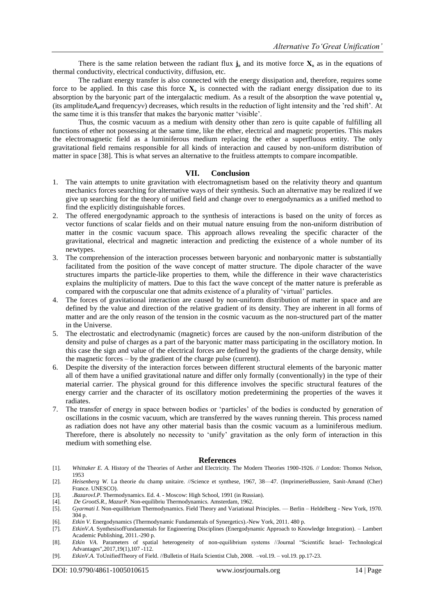There is the same relation between the radiant flux  $j_B$  and its motive force  $X_B$  as in the equations of thermal conductivity, electrical conductivity, diffusion, etc.

The radiant energy transfer is also connected with the energy dissipation and, therefore, requires some force to be applied. In this case this force  $X_B$  is connected with the radiant energy dissipation due to its absorption by the baryonic part of the intergalactic medium. As a result of the absorption the wave potential  $\psi_B$ (its amplitude*A*вand frequencyν) decreases, which results in the reduction of light intensity and the 'red shift'. At the same time it is this transfer that makes the baryonic matter 'visible'.

Thus, the cosmic vacuum as a medium with density other than zero is quite capable of fulfilling all functions of ether not possessing at the same time, like the ether, electrical and magnetic properties. This makes the electromagnetic field as a luminiferous medium replacing the ether a superfluous entity. The only gravitational field remains responsible for all kinds of interaction and caused by non-uniform distribution of matter in space [38]. This is what serves an alternative to the fruitless attempts to compare incompatible.

#### **VII. Conclusion**

- 1. The vain attempts to unite gravitation with electromagnetism based on the relativity theory and quantum mechanics forces searching for alternative ways of their synthesis. Such an alternative may be realized if we give up searching for the theory of unified field and change over to energodynamics as a unified method to find the explicitly distinguishable forces.
- 2. The offered energodynamic approach to the synthesis of interactions is based on the unity of forces as vector functions of scalar fields and on their mutual nature ensuing from the non-uniform distribution of matter in the cosmic vacuum space. This approach allows revealing the specific character of the gravitational, electrical and magnetic interaction and predicting the existence of a whole number of its newtypes.
- 3. The comprehension of the interaction processes between baryonic and nonbaryonic matter is substantially facilitated from the position of the wave concept of matter structure. The dipole character of the wave structures imparts the particle-like properties to them, while the difference in their wave characteristics explains the multiplicity of matters. Due to this fact the wave concept of the matter nature is preferable as compared with the corpuscular one that admits existence of a plurality of 'virtual' particles.
- 4. The forces of gravitational interaction are caused by non-uniform distribution of matter in space and are defined by the value and direction of the relative gradient of its density. They are inherent in all forms of matter and are the only reason of the tension in the cosmic vacuum as the non-structured part of the matter in the Universe.
- 5. The electrostatic and electrodynamic (magnetic) forces are caused by the non-uniform distribution of the density and pulse of charges as a part of the baryonic matter mass participating in the oscillatory motion. In this case the sign and value of the electrical forces are defined by the gradients of the charge density, while the magnetic forces – by the gradient of the charge pulse (current).
- 6. Despite the diversity of the interaction forces between different structural elements of the baryonic matter all of them have a unified gravitational nature and differ only formally (conventionally) in the type of their material carrier. The physical ground for this difference involves the specific structural features of the energy carrier and the character of its oscillatory motion predetermining the properties of the waves it radiates.
- 7. The transfer of energy in space between bodies or 'particles' of the bodies is conducted by generation of oscillations in the cosmic vacuum, which are transferred by the waves running therein. This process named as radiation does not have any other material basis than the cosmic vacuum as a luminiferous medium. Therefore, there is absolutely no necessity to 'unify' gravitation as the only form of interaction in this medium with something else.

#### **References**

- [1]. *Whittaker E. A*. History of the Theories of Aether and Electricity. The Modern Theories 1900-1926. // London: Thomos Nelson, 1953
- [2]. *Heisenberg W.* La theorie du champ unitaire. //Science et synthese, 1967, 38—47. (ImprimerieBussiere, Sanit-Amand (Cher) France. UNESCO).
- [3]. *.BazarovI.P*. Thermodynamics. Ed. 4. Moscow: High School, 1991 (in Russian). [4]. *De GrootS.R., MazurP.* Non-equilibriu Thermodynamics. Amsterdam, 1962.
- [5]. *Gyarmati I*. Non-equilibrium Thermodynamics. Field Theory and Variational Principles. Berlin Heldelberg New York, 1970. 304 p.
- [6]. *Etkin V.* Energodynamics (Thermodynamic Fundamentals of Synergetics).-New York, 2011. 480 p.
- [7]. *EtkinV.A.* SynthesisofFundamentals for Engineering Disciplines (Energodynamic Approach to Knowledge Integration). Lambert Academic Publishing, 2011.-290 p.
- [8]. *Etkin VA*. Parameters of spatial heterogeneity of non-equilibrium systems //Journal "Scientific Israel- Technological Advantages",2017,19(1),107 -112.
- [9]. *EtkinV.A.* ToUnifiedTheory of Field. //Bulletin of Haifa Scientist Club, 2008. –vol.19. vol.19. pp.17-23.